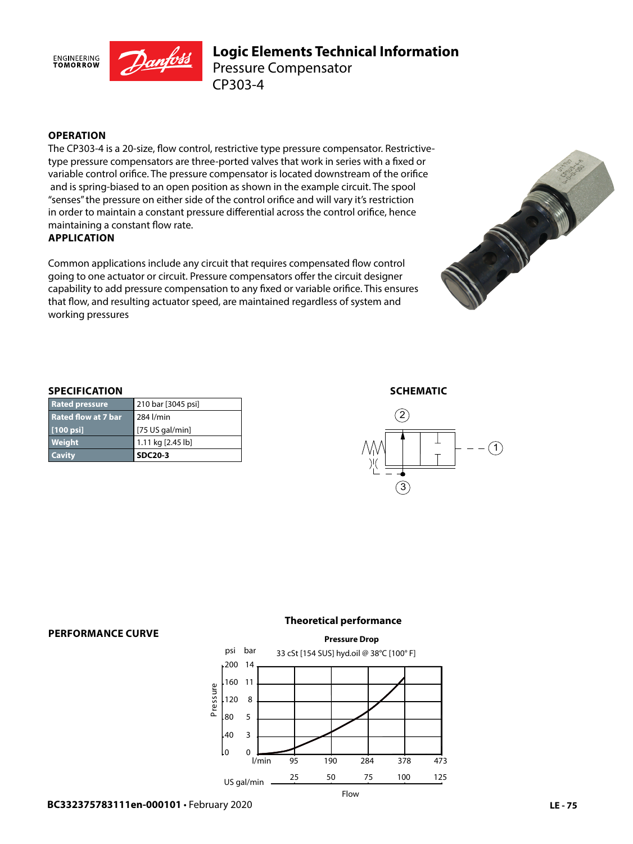

## **Logic Elements Technical Information** CP303-4 Pressure Compensator

### **OPERATION**

The CP303-4 is a 20-size, flow control, restrictive type pressure compensator. Restrictivetype pressure compensators are three-ported valves that work in series with a fixed or variable control orifice. The pressure compensator is located downstream of the orifice and is spring-biased to an open position as shown in the example circuit. The spool "senses" the pressure on either side of the control orifice and will vary it's restriction in order to maintain a constant pressure differential across the control orifice, hence maintaining a constant flow rate.

#### **APPLICATION**

Common applications include any circuit that requires compensated flow control going to one actuator or circuit. Pressure compensators offer the circuit designer capability to add pressure compensation to any fixed or variable orifice. This ensures that flow, and resulting actuator speed, are maintained regardless of system and working pressures



#### **SPECIFICATION**

| Weight<br><b>Cavity</b>    | 1.11 kg [2.45 lb]<br><b>SDC20-3</b> |
|----------------------------|-------------------------------------|
| [100 psi]                  | $[75$ US gal/min]                   |
| <b>Rated flow at 7 bar</b> | 284 l/min                           |
| <b>Rated pressure</b>      | 210 bar [3045 psi]                  |

#### **SCHEMATIC**



#### **PERFORMANCE CURVE**

#### **Theoretical performance**